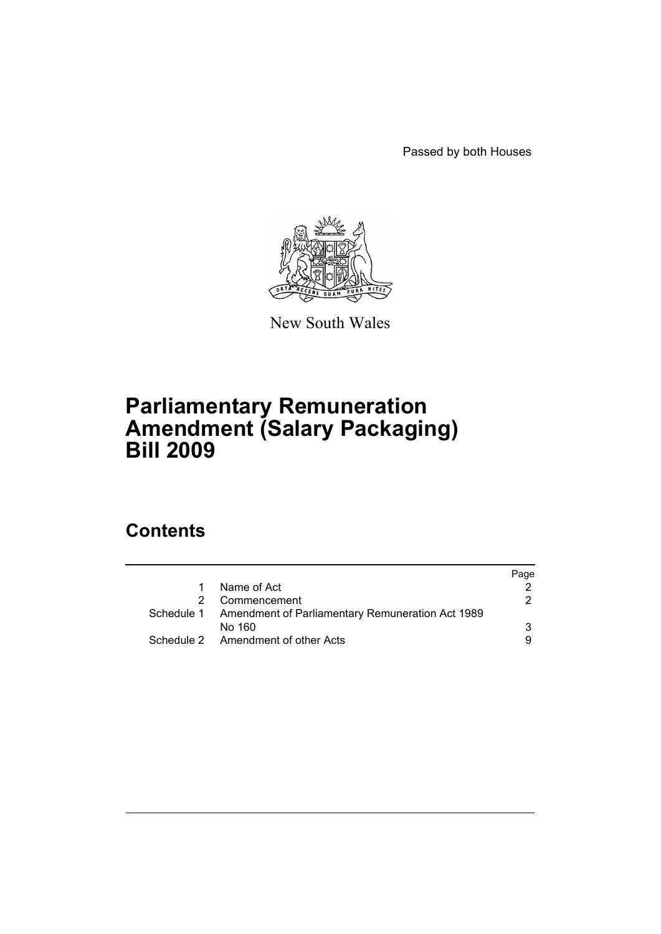Passed by both Houses



New South Wales

# **Parliamentary Remuneration Amendment (Salary Packaging) Bill 2009**

# **Contents**

|                                                             | Page |
|-------------------------------------------------------------|------|
| Name of Act<br>$\mathbf{1}$                                 |      |
| Commencement                                                | 2.   |
| Schedule 1 Amendment of Parliamentary Remuneration Act 1989 |      |
| No 160                                                      | 3    |
| Schedule 2 Amendment of other Acts                          | 9    |
|                                                             |      |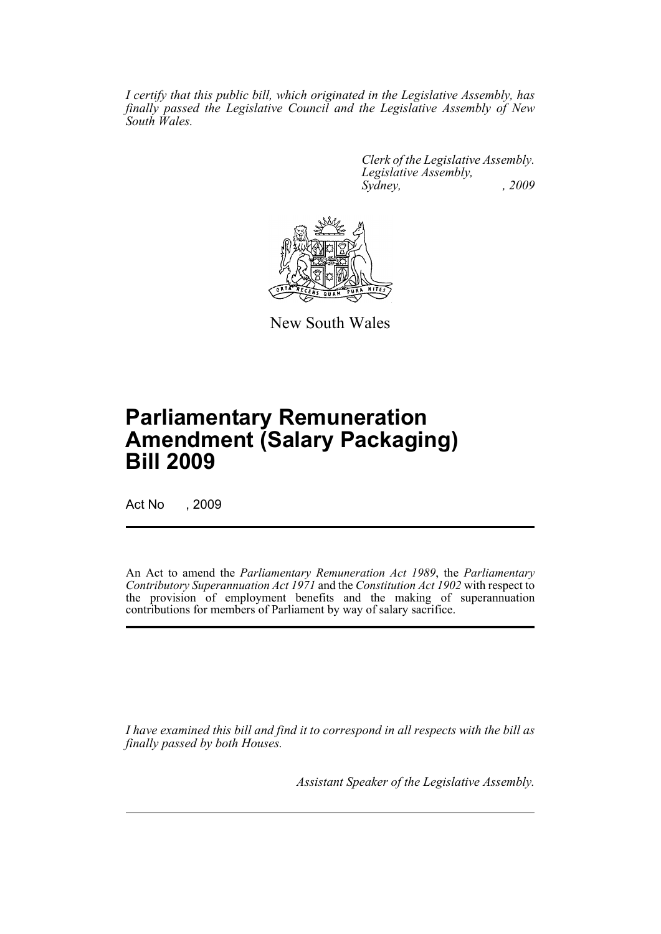*I certify that this public bill, which originated in the Legislative Assembly, has finally passed the Legislative Council and the Legislative Assembly of New South Wales.*

> *Clerk of the Legislative Assembly. Legislative Assembly, Sydney, , 2009*



New South Wales

# **Parliamentary Remuneration Amendment (Salary Packaging) Bill 2009**

Act No , 2009

An Act to amend the *Parliamentary Remuneration Act 1989*, the *Parliamentary Contributory Superannuation Act 1971* and the *Constitution Act 1902* with respect to the provision of employment benefits and the making of superannuation contributions for members of Parliament by way of salary sacrifice.

*I have examined this bill and find it to correspond in all respects with the bill as finally passed by both Houses.*

*Assistant Speaker of the Legislative Assembly.*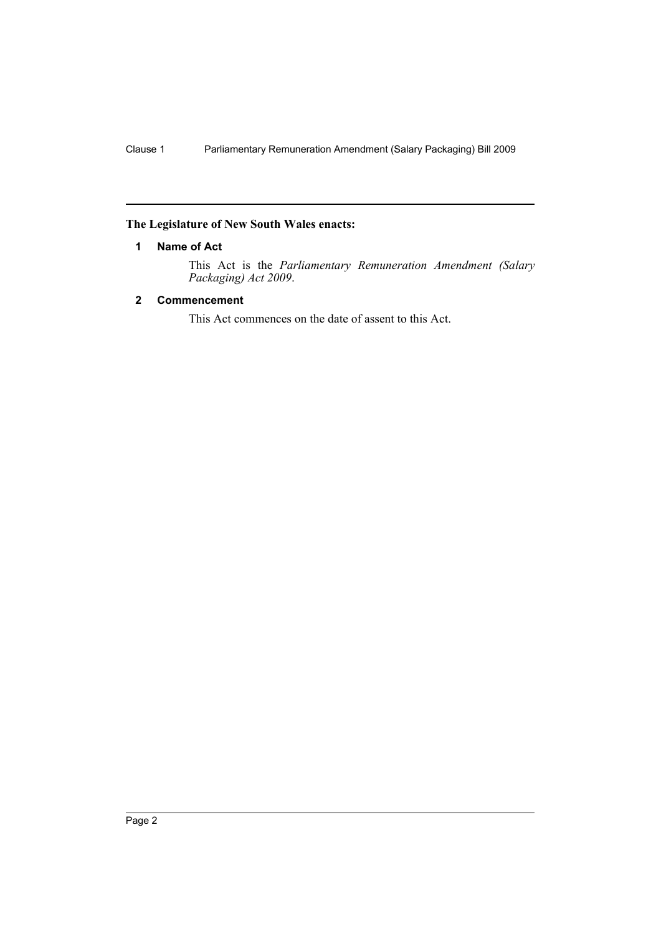# <span id="page-2-0"></span>**The Legislature of New South Wales enacts:**

#### **1 Name of Act**

This Act is the *Parliamentary Remuneration Amendment (Salary Packaging) Act 2009*.

## <span id="page-2-1"></span>**2 Commencement**

This Act commences on the date of assent to this Act.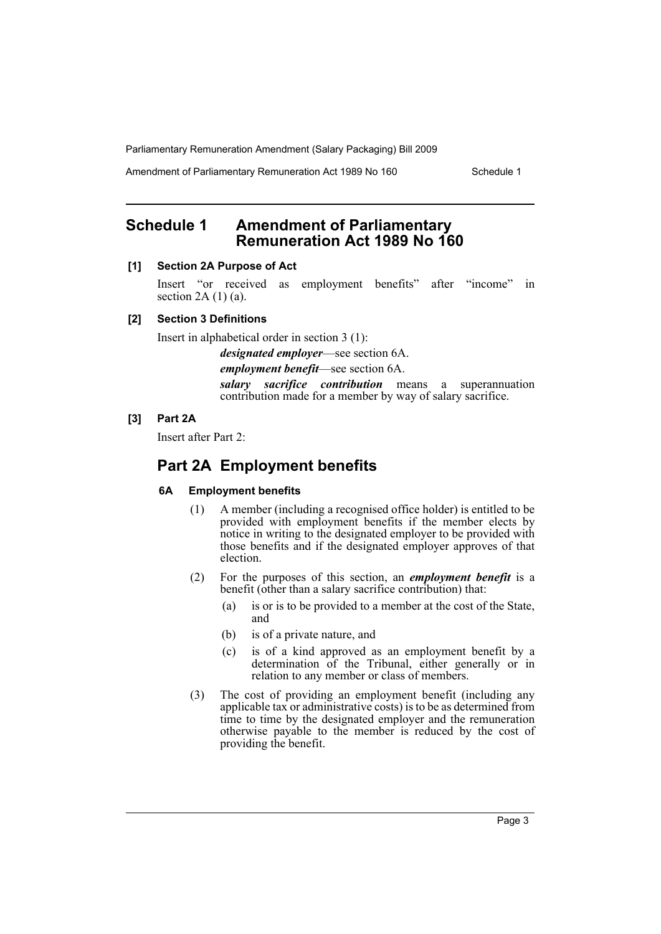Amendment of Parliamentary Remuneration Act 1989 No 160 Schedule 1

# <span id="page-3-0"></span>**Schedule 1 Amendment of Parliamentary Remuneration Act 1989 No 160**

#### **[1] Section 2A Purpose of Act**

Insert "or received as employment benefits" after "income" in section  $2A(1)(a)$ .

#### **[2] Section 3 Definitions**

Insert in alphabetical order in section 3 (1):

*designated employer*—see section 6A.

*employment benefit*—see section 6A.

*salary sacrifice contribution* means a superannuation contribution made for a member by way of salary sacrifice.

## **[3] Part 2A**

Insert after Part 2:

# **Part 2A Employment benefits**

#### **6A Employment benefits**

- (1) A member (including a recognised office holder) is entitled to be provided with employment benefits if the member elects by notice in writing to the designated employer to be provided with those benefits and if the designated employer approves of that election.
- (2) For the purposes of this section, an *employment benefit* is a benefit (other than a salary sacrifice contribution) that:
	- (a) is or is to be provided to a member at the cost of the State, and
	- (b) is of a private nature, and
	- (c) is of a kind approved as an employment benefit by a determination of the Tribunal, either generally or in relation to any member or class of members.
- (3) The cost of providing an employment benefit (including any applicable tax or administrative costs) is to be as determined from time to time by the designated employer and the remuneration otherwise payable to the member is reduced by the cost of providing the benefit.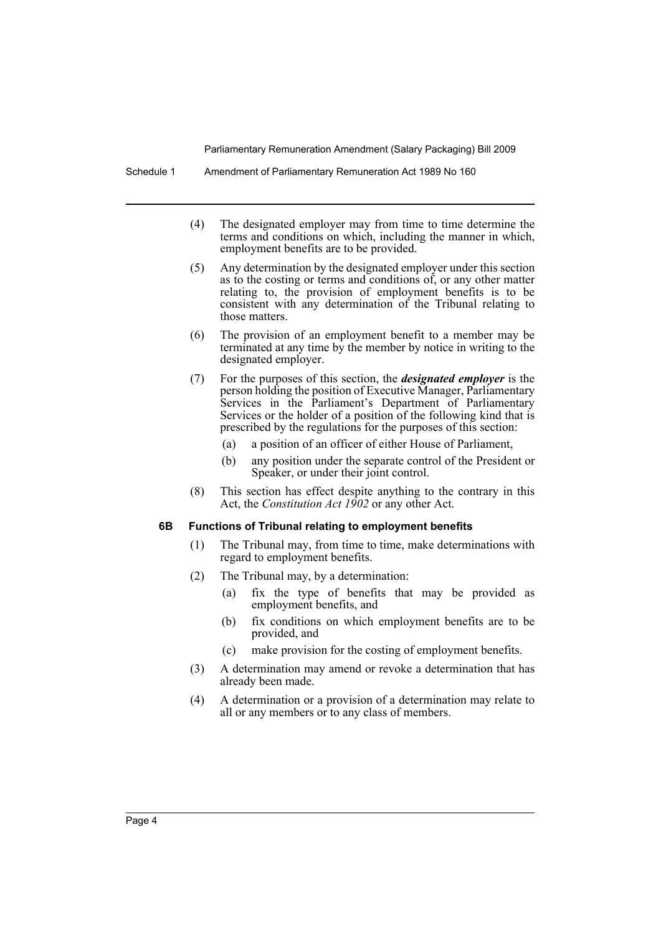- (4) The designated employer may from time to time determine the terms and conditions on which, including the manner in which, employment benefits are to be provided.
- (5) Any determination by the designated employer under this section as to the costing or terms and conditions of, or any other matter relating to, the provision of employment benefits is to be consistent with any determination of the Tribunal relating to those matters.
- (6) The provision of an employment benefit to a member may be terminated at any time by the member by notice in writing to the designated employer.
- (7) For the purposes of this section, the *designated employer* is the person holding the position of Executive Manager, Parliamentary Services in the Parliament's Department of Parliamentary Services or the holder of a position of the following kind that is prescribed by the regulations for the purposes of this section:
	- (a) a position of an officer of either House of Parliament,
	- (b) any position under the separate control of the President or Speaker, or under their joint control.
- (8) This section has effect despite anything to the contrary in this Act, the *Constitution Act 1902* or any other Act.

#### **6B Functions of Tribunal relating to employment benefits**

- (1) The Tribunal may, from time to time, make determinations with regard to employment benefits.
- (2) The Tribunal may, by a determination:
	- (a) fix the type of benefits that may be provided as employment benefits, and
	- (b) fix conditions on which employment benefits are to be provided, and
	- (c) make provision for the costing of employment benefits.
- (3) A determination may amend or revoke a determination that has already been made.
- (4) A determination or a provision of a determination may relate to all or any members or to any class of members.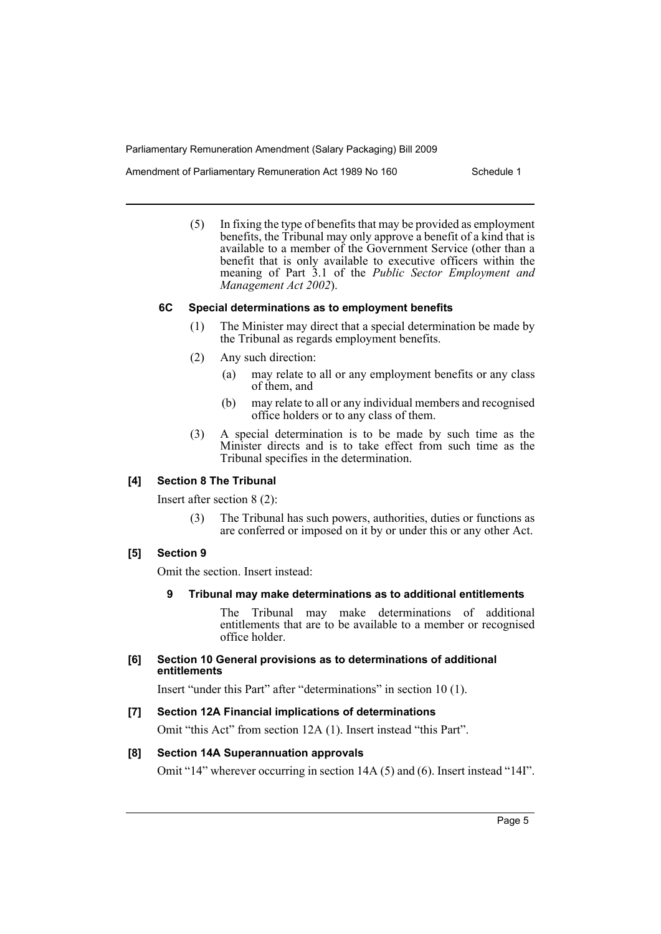Amendment of Parliamentary Remuneration Act 1989 No 160 Schedule 1

(5) In fixing the type of benefits that may be provided as employment benefits, the Tribunal may only approve a benefit of a kind that is available to a member of the Government Service (other than a benefit that is only available to executive officers within the meaning of Part 3.1 of the *Public Sector Employment and Management Act 2002*).

#### **6C Special determinations as to employment benefits**

- (1) The Minister may direct that a special determination be made by the Tribunal as regards employment benefits.
- (2) Any such direction:
	- (a) may relate to all or any employment benefits or any class of them, and
	- (b) may relate to all or any individual members and recognised office holders or to any class of them.
- (3) A special determination is to be made by such time as the Minister directs and is to take effect from such time as the Tribunal specifies in the determination.

#### **[4] Section 8 The Tribunal**

Insert after section 8 (2):

(3) The Tribunal has such powers, authorities, duties or functions as are conferred or imposed on it by or under this or any other Act.

#### **[5] Section 9**

Omit the section. Insert instead:

**9 Tribunal may make determinations as to additional entitlements**

The Tribunal may make determinations of additional entitlements that are to be available to a member or recognised office holder.

#### **[6] Section 10 General provisions as to determinations of additional entitlements**

Insert "under this Part" after "determinations" in section 10 (1).

#### **[7] Section 12A Financial implications of determinations**

Omit "this Act" from section 12A (1). Insert instead "this Part".

#### **[8] Section 14A Superannuation approvals**

Omit "14" wherever occurring in section 14A (5) and (6). Insert instead "14I".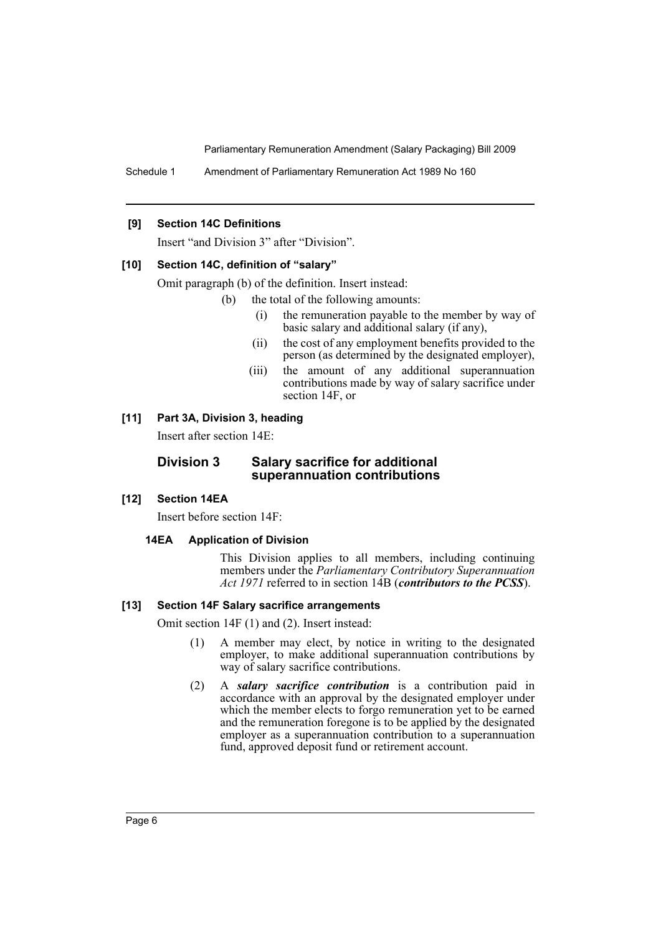Schedule 1 Amendment of Parliamentary Remuneration Act 1989 No 160

#### **[9] Section 14C Definitions**

Insert "and Division 3" after "Division".

#### **[10] Section 14C, definition of "salary"**

Omit paragraph (b) of the definition. Insert instead:

- (b) the total of the following amounts:
	- (i) the remuneration payable to the member by way of basic salary and additional salary (if any),
	- (ii) the cost of any employment benefits provided to the person (as determined by the designated employer),
	- (iii) the amount of any additional superannuation contributions made by way of salary sacrifice under section 14F, or

#### **[11] Part 3A, Division 3, heading**

Insert after section 14E:

## **Division 3 Salary sacrifice for additional superannuation contributions**

#### **[12] Section 14EA**

Insert before section 14F:

#### **14EA Application of Division**

This Division applies to all members, including continuing members under the *Parliamentary Contributory Superannuation Act 1971* referred to in section 14B (*contributors to the PCSS*).

#### **[13] Section 14F Salary sacrifice arrangements**

Omit section 14F (1) and (2). Insert instead:

- (1) A member may elect, by notice in writing to the designated employer, to make additional superannuation contributions by way of salary sacrifice contributions.
- (2) A *salary sacrifice contribution* is a contribution paid in accordance with an approval by the designated employer under which the member elects to forgo remuneration yet to be earned and the remuneration foregone is to be applied by the designated employer as a superannuation contribution to a superannuation fund, approved deposit fund or retirement account.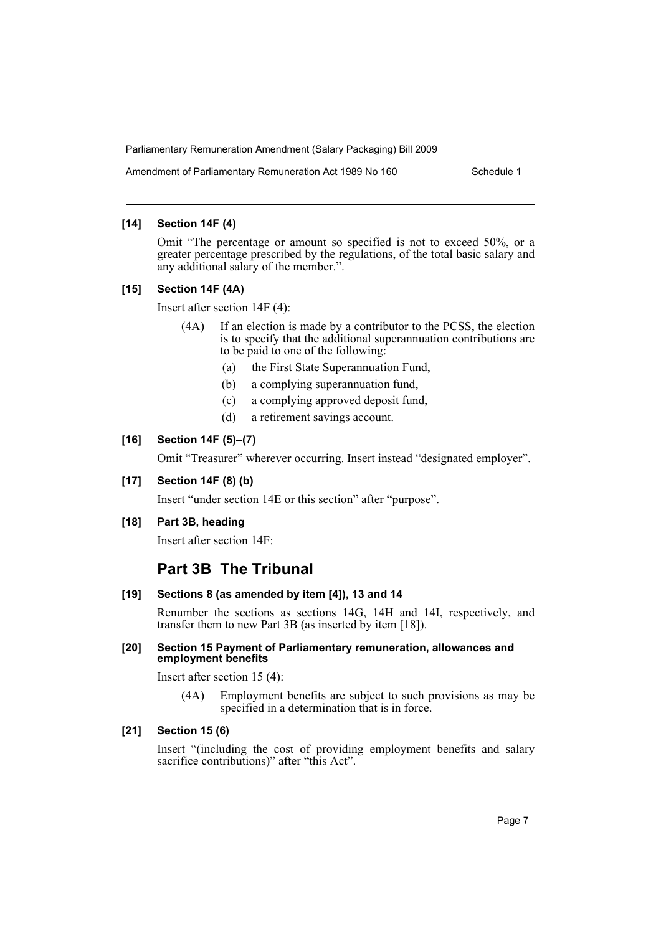Amendment of Parliamentary Remuneration Act 1989 No 160 Schedule 1

#### **[14] Section 14F (4)**

Omit "The percentage or amount so specified is not to exceed 50%, or a greater percentage prescribed by the regulations, of the total basic salary and any additional salary of the member.".

#### **[15] Section 14F (4A)**

Insert after section 14F (4):

- (4A) If an election is made by a contributor to the PCSS, the election is to specify that the additional superannuation contributions are to be paid to one of the following:
	- (a) the First State Superannuation Fund,
	- (b) a complying superannuation fund,
	- (c) a complying approved deposit fund,
	- (d) a retirement savings account.

#### **[16] Section 14F (5)–(7)**

Omit "Treasurer" wherever occurring. Insert instead "designated employer".

#### **[17] Section 14F (8) (b)**

Insert "under section 14E or this section" after "purpose".

#### **[18] Part 3B, heading**

Insert after section 14F:

# **Part 3B The Tribunal**

#### **[19] Sections 8 (as amended by item [4]), 13 and 14**

Renumber the sections as sections 14G, 14H and 14I, respectively, and transfer them to new Part 3B (as inserted by item [18]).

#### **[20] Section 15 Payment of Parliamentary remuneration, allowances and employment benefits**

Insert after section 15 (4):

(4A) Employment benefits are subject to such provisions as may be specified in a determination that is in force.

# **[21] Section 15 (6)**

Insert "(including the cost of providing employment benefits and salary sacrifice contributions)" after "this Act".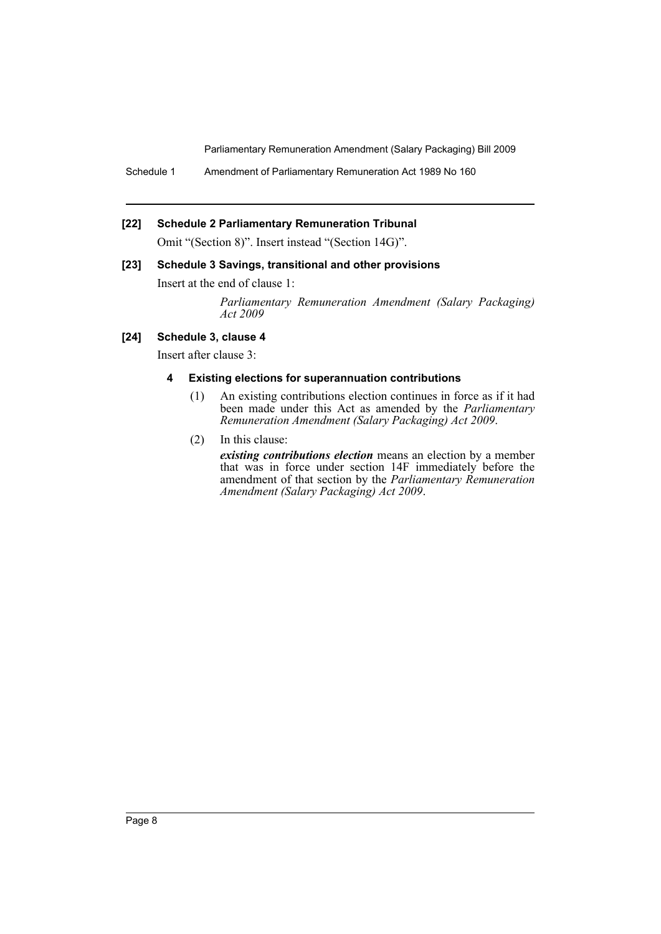Schedule 1 Amendment of Parliamentary Remuneration Act 1989 No 160

#### **[22] Schedule 2 Parliamentary Remuneration Tribunal**

Omit "(Section 8)". Insert instead "(Section 14G)".

#### **[23] Schedule 3 Savings, transitional and other provisions**

Insert at the end of clause 1:

*Parliamentary Remuneration Amendment (Salary Packaging) Act 2009*

## **[24] Schedule 3, clause 4**

Insert after clause 3:

#### **4 Existing elections for superannuation contributions**

- (1) An existing contributions election continues in force as if it had been made under this Act as amended by the *Parliamentary Remuneration Amendment (Salary Packaging) Act 2009*.
- (2) In this clause:

*existing contributions election* means an election by a member that was in force under section 14F immediately before the amendment of that section by the *Parliamentary Remuneration Amendment (Salary Packaging) Act 2009*.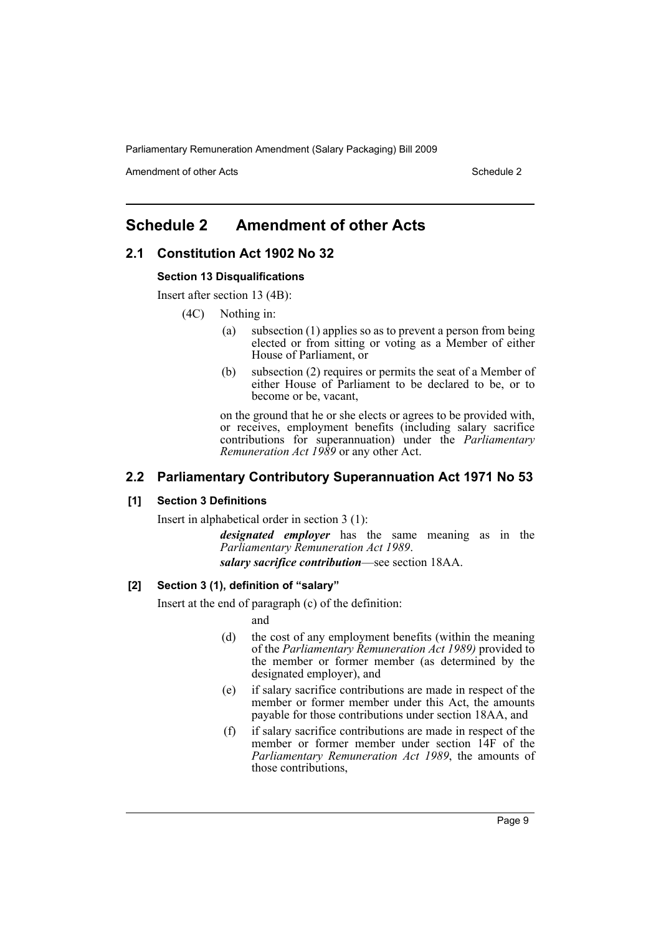Amendment of other Acts **Schedule 2** and the 2 and 2 and 2 and 2 and 2 and 2 and 2 and 2 and 2 and 2 and 2 and 2 and 2 and 2 and 2 and 2 and 2 and 2 and 2 and 2 and 2 and 2 and 2 and 2 and 2 and 2 and 2 and 2 and 2 and 2 a

# <span id="page-9-0"></span>**Schedule 2 Amendment of other Acts**

## **2.1 Constitution Act 1902 No 32**

#### **Section 13 Disqualifications**

Insert after section 13 (4B):

- (4C) Nothing in:
	- (a) subsection (1) applies so as to prevent a person from being elected or from sitting or voting as a Member of either House of Parliament, or
	- (b) subsection (2) requires or permits the seat of a Member of either House of Parliament to be declared to be, or to become or be, vacant,

on the ground that he or she elects or agrees to be provided with, or receives, employment benefits (including salary sacrifice contributions for superannuation) under the *Parliamentary Remuneration Act 1989* or any other Act.

## **2.2 Parliamentary Contributory Superannuation Act 1971 No 53**

#### **[1] Section 3 Definitions**

Insert in alphabetical order in section 3 (1):

*designated employer* has the same meaning as in the *Parliamentary Remuneration Act 1989*. *salary sacrifice contribution*—see section 18AA.

#### **[2] Section 3 (1), definition of "salary"**

Insert at the end of paragraph (c) of the definition:

- and
- (d) the cost of any employment benefits (within the meaning of the *Parliamentary Remuneration Act 1989)* provided to the member or former member (as determined by the designated employer), and
- (e) if salary sacrifice contributions are made in respect of the member or former member under this Act, the amounts payable for those contributions under section 18AA, and
- (f) if salary sacrifice contributions are made in respect of the member or former member under section 14F of the *Parliamentary Remuneration Act 1989*, the amounts of those contributions,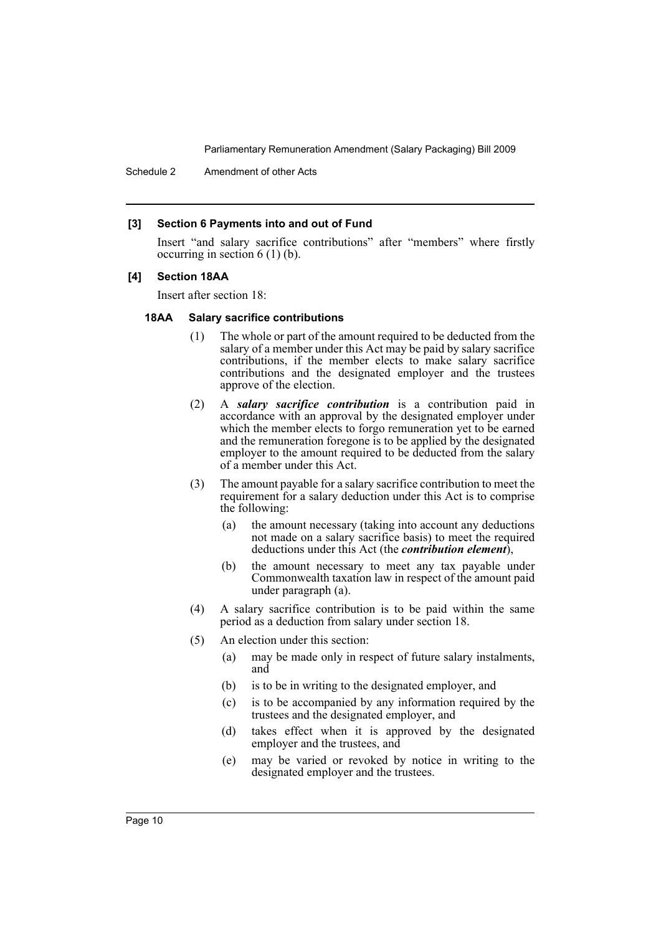Schedule 2 Amendment of other Acts

#### **[3] Section 6 Payments into and out of Fund**

Insert "and salary sacrifice contributions" after "members" where firstly occurring in section 6 (1) (b).

#### **[4] Section 18AA**

Insert after section 18:

#### **18AA Salary sacrifice contributions**

- (1) The whole or part of the amount required to be deducted from the salary of a member under this Act may be paid by salary sacrifice contributions, if the member elects to make salary sacrifice contributions and the designated employer and the trustees approve of the election.
- (2) A *salary sacrifice contribution* is a contribution paid in accordance with an approval by the designated employer under which the member elects to forgo remuneration yet to be earned and the remuneration foregone is to be applied by the designated employer to the amount required to be deducted from the salary of a member under this Act.
- (3) The amount payable for a salary sacrifice contribution to meet the requirement for a salary deduction under this Act is to comprise the following:
	- (a) the amount necessary (taking into account any deductions not made on a salary sacrifice basis) to meet the required deductions under this Act (the *contribution element*),
	- (b) the amount necessary to meet any tax payable under Commonwealth taxation law in respect of the amount paid under paragraph (a).
- (4) A salary sacrifice contribution is to be paid within the same period as a deduction from salary under section 18.
- (5) An election under this section:
	- (a) may be made only in respect of future salary instalments, and
	- (b) is to be in writing to the designated employer, and
	- (c) is to be accompanied by any information required by the trustees and the designated employer, and
	- (d) takes effect when it is approved by the designated employer and the trustees, and
	- (e) may be varied or revoked by notice in writing to the designated employer and the trustees.